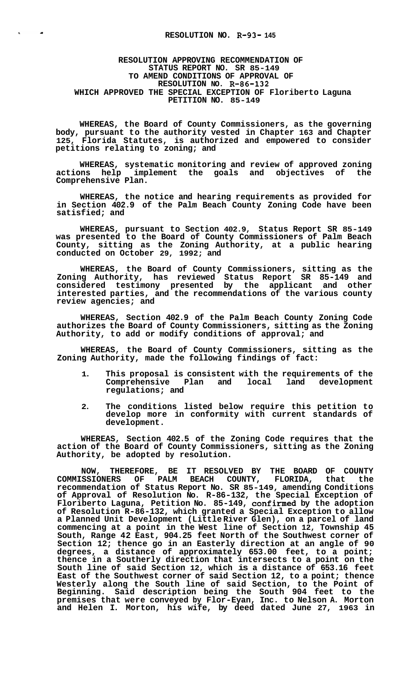## **RESOLUTION APPROVING RECOMMENDATION OF STATUS REPORT NO. SR 85-149 TO AMEND CONDITIONS OF APPROVAL OF RESOLUTION NO. R-86-132 WHICH APPROVED THE SPECIAL EXCEPTION OF Floriberto Laguna PETITION NO. 85-149**

 $\mathbf{r}$ 

 $\mathcal{A}$ 

**WHEREAS, the Board of County Commissioners, as the governing body, pursuant to the authority vested in Chapter 163 and Chapter 125, Florida Statutes, is authorized and empowered to consider petitions relating to zoning; and** 

**WHEREAS, systematic monitoring and review of approved zoning actions help implement the goals and objectives of the Comprehensive Plan.** 

**WHEREAS, the notice and hearing requirements as provided for in Section 402.9 of the Palm Beach County Zoning Code have been satisfied; and** 

**WHEREAS, pursuant to Section 402.9, Status Report SR 85-149 was presented to the Board of County Commissioners of Palm Beach County, sitting as the Zoning Authority, at a public hearing conducted on October 29, 1992; and** 

**WHEREAS, the Board of County Commissioners, sitting as the Zoning Authority, has reviewed Status Report SR 85-149 and considered testimony presented by the applicant and other interested parties, and the recommendations of the various county review agencies; and** 

**WHEREAS, Section 402.9 of the Palm Beach County Zoning Code authorizes the Board of County Commissioners, sitting as the Zoning Authority, to add or modify conditions of approval; and** 

**WHEREAS, the Board of County Commissioners, sitting as the Zoning Authority, made the following findings of fact:** 

- **1. This proposal is consistent with the requirements of the Comprehensive Plan and local land development regulations; and**
- **2. The conditions listed below require this petition to develop more in conformity with current standards of development.**

**WHEREAS, Section 402.5 of the Zoning Code requires that the action of the Board of County Commissioners, sitting as the Zoning Authority, be adopted by resolution.** 

**NOW, THEREFORE, BE IT RESOLVED BY THE BOARD OF COUNTY COMMISSIONERS OF PALM BEACH COUNTY, FLORIDA, that the recommendation of Status Report No. SR 85-149, amending Conditions of Approval of Resolution No. R-86-132, the Special Exception of Floriberto Laguna, Petition No. 85-149, confirmed by the adoption of Resolution R-86-132, which granted a Special Exception to allow a Planned Unit Development (Little River Glen), on a parcel of land commencing at a point in the West line of Section 12, Township 45 South, Range 42 East, 904.25 feet North of the Southwest corner of Section 12; thence go in an Easterly direction at an angle of 90 degrees, a distance of approximately 653.00 feet, to a point; thence in a Southerly direction that intersects to a point on the South line of said Section 12, which is a distance of 653.16 feet East of the Southwest corner of said Section 12, to a point; thence Westerly along the South line of said Section, to the Point of Beginning. Said description being the South 904 feet to the premises that were conveyed by Flor-Eyan, Inc. to Nelson A. Morton and Helen I. Morton, his wife, by deed dated June 27, 1963 in**